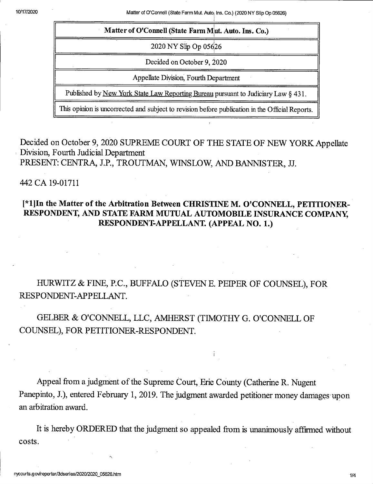10/17/2020 Matter of O'Connell (State Farm Mut. Auto; Ins. Co.) (2020 NY Slip Op 05626)

|                                                                                                 | Matter of O'Connell (State Farm Mut. Auto. Ins. Co.) |
|-------------------------------------------------------------------------------------------------|------------------------------------------------------|
|                                                                                                 | 2020 NY Slip Op 05626                                |
|                                                                                                 | Decided on October 9, 2020                           |
|                                                                                                 | Appellate Division, Fourth Department                |
| Published by New York State Law Reporting Bureau pursuant to Judiciary Law § 431.               |                                                      |
| This opinion is uncorrected and subject to revision before publication in the Official Reports. |                                                      |

Decided on October 9, 2020 SUPREME COURT OF THE STATE OF NEW YORK Appellate Division, Fourth Judicial Department PRESENT: CENTRA, J.P., TROUTMAN, WINSLOW, AND BANNISTER, JJ.

## 442 CA 19-01711

## I\*l]In the Matter of the Arbitration Between CHRISTINE M. O'CONNELL, PETITIONER-RESPONDENT, AND STATE FARM MUTUAL AUTOMOBILE INSURANCE COMPANY, RESPONDENT-APPELLANT. (APPEAL NO. 1.)

HURWITZ & FINE, P.C., BUFFALO (STEVEN E. PEIPER OF COUNSEL), FOR RESPONDENT-APPELLANT.

GELBER & O'CONNELL, LLC, AMHERST (TIMOTHY G. O'CONNELL OF COUNSEL), FOR PETITIONER-RESPONDENT.

Appeal from a judgment of the Supreme Court, Erie County (Catherine R. Nugent Panepinto, J.), entered February 1, 2019. The judgment awarded petitioner money damages-upon an arbitration award.

It is hereby ORDERED that the judgment so appealed from is unanimously affirmed without costs.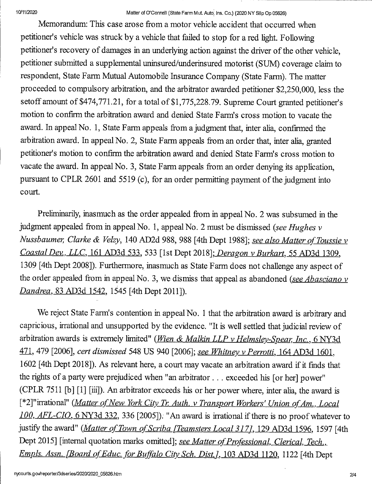## 10/11/2020 Matter of O'Connell (State Farm Mut. Auto; Ins. Co.) (2020 NY Slip Op 05626)

Memorandum: This case arose from a motor vehicle accident that occurred when petitioner's vehicle was struck by a vehicle that failed to stop for a red light. Following petitioner's recovery of damages in an underlying action against the driver of the other vehicle, petitioner submitted a supplemental uninsured/underinsured motorist (SUM) coverage claim to respondent, State Farm Mutual Automobile Insurance Company (State Farm). The matter proceeded to compulsory arbitration, and the arbitrator awarded petitioner \$2,250,000, less the setoff amount of \$474,771.21, for a total of \$1,775,228.79. Supreme Court granted petitioner's motion to confirm the arbitration award and denied State Farm's cross motion to vacate the award. In appeal No. 1, State Farm appeals from a judgment that, inter alia, confirmed the arbitration award. In appeal No. 2, State Farm appeals from an order that, inter alia, granted petitioner's motion to confirm the arbitration award and denied State Farm's cross motion to vacate the award. In appeal No. 3, State Farm appeals from an order denying its application, pursuant to CPLR 2601 and 5519 (c), for an order permitting payment of the judgment into court.

Preliminarily, inasmuch as the order appealed from in appeal No. 2 was subsumed in the judgment appealed from in appeal No. 1, appeal No. 2 must be dismissed (see Hughes v Nussbaumer, Clarke & Velzy, 140 AD2d 988, 988 [4th Dept 1988]; see also Matter of Toussie v Coastal Dev., LLC, 161 AD3d 533, 533 [1st Dept 2018]; Deragon v Burkart, 55 AD3d 1309. 1309 [4th Dept 2008]). Furthermore, inasmuch as State Farm does not challenge any aspect of the order appealed from in appeal No. 3, we dismiss that appeal as abandoned (see Abasciano  $\nu$ Dandrea, 83 AD3d 1542, 1545 [4th Dept 2011]).

We reject State Farm's contention in appeal No. 1 that the arbitration award is arbitrary and capricious, irrational and unsupported by the evidence. "It is well settled that judicial review of arbitration awards is extremely limited" (Wien & Malkin LLP v Helmsley-Spear, Inc., 6 NY3d 471, 479 [2006], cert dismissed 548 US 940 [2006]; see Whitney v Perrotti, 164 AD3d 1601, 1602 [4th Dept 2018]). As relevant here, a court may vacate an arbitration award if it finds that the rights of a party were prejudiced when "an arbitrator . . . exceeded his [or her] power" (CPLR 7511 [b] [1] [iii]). An arbitrator exceeds his or her power where, inter alia, the award is [\*2]" irrational" (Matter of New York City Tr. Auth. v Transport Workers' Union of Am., Local 100. AFL-CIO. 6 NY3d 332. 336 [2005]). "An award is irrational if there is no proof whatever to justify the award" (Matter of Town of Scriba [Teamsters Local 317], 129 AD3d 1596, 1597 [4th Dept 2015] [internal quotation marks omitted]; see Matter of Professional, Clerical, Tech., Empls. Assn. [Board of Educ. for Buffalo City Sch. Dist.], 103 AD3d 1120, 1122 [4th Dept